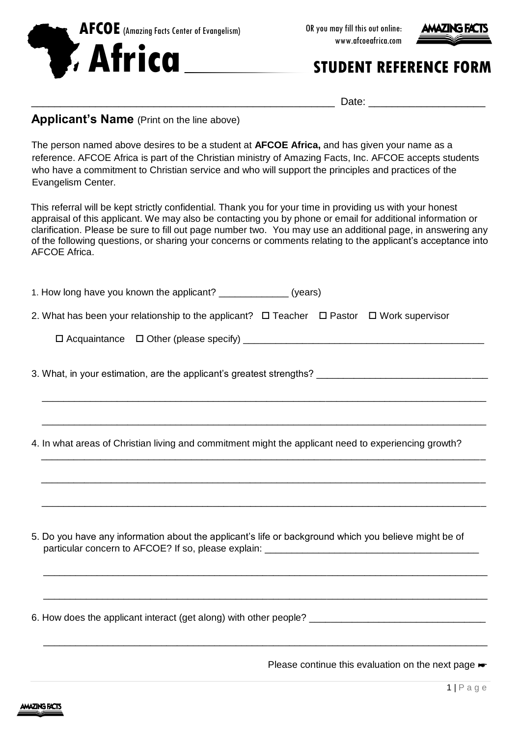



 $Date:$ 

## **Applicant's Name** (Print on the line above)

The person named above desires to be a student at **AFCOE Africa,** and has given your name as a reference. AFCOE Africa is part of the Christian ministry of Amazing Facts, Inc. AFCOE accepts students who have a commitment to Christian service and who will support the principles and practices of the Evangelism Center.

This referral will be kept strictly confidential. Thank you for your time in providing us with your honest appraisal of this applicant. We may also be contacting you by phone or email for additional information or clarification. Please be sure to fill out page number two. You may use an additional page, in answering any of the following questions, or sharing your concerns or comments relating to the applicant's acceptance into AFCOE Africa.

| 1. How long have you known the applicant? ________________ (years)                                       |  |  |
|----------------------------------------------------------------------------------------------------------|--|--|
| 2. What has been your relationship to the applicant? $\Box$ Teacher $\Box$ Pastor $\Box$ Work supervisor |  |  |
|                                                                                                          |  |  |
| 3. What, in your estimation, are the applicant's greatest strengths? _______________________________     |  |  |
| 4. In what areas of Christian living and commitment might the applicant need to experiencing growth?     |  |  |
| 5. Do you have any information about the applicant's life or background which you believe might be of    |  |  |
| 6. How does the applicant interact (get along) with other people? __________________________________     |  |  |

Please continue this evaluation on the next page